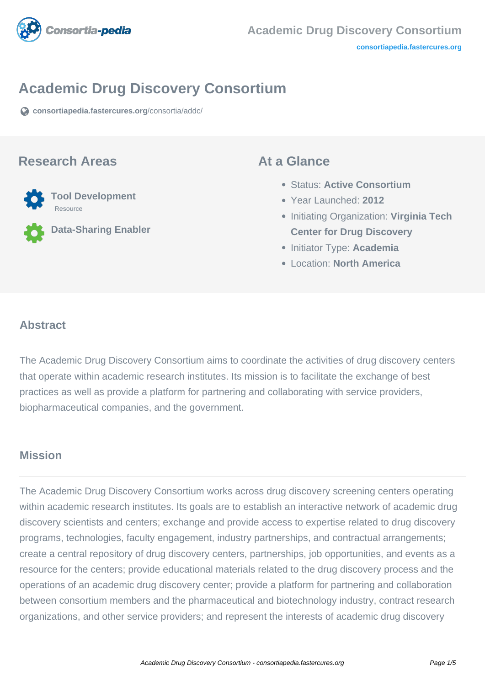

# **Academic Drug Discovery Consortium**

**[consortiapedia.fastercures.org](https://consortiapedia.fastercures.org/consortia/addc/)**[/consortia/addc/](https://consortiapedia.fastercures.org/consortia/addc/)

#### **Research Areas**



**Data-Sharing Enabler**

#### **At a Glance**

- Status: **Active Consortium**
- Year Launched: **2012**
- **Initiating Organization: Virginia Tech Center for Drug Discovery**
- **Initiator Type: Academia**
- Location: **North America**

#### $\overline{a}$ **Abstract**

The Academic Drug Discovery Consortium aims to coordinate the activities of drug discovery centers that operate within academic research institutes. Its mission is to facilitate the exchange of best practices as well as provide a platform for partnering and collaborating with service providers, biopharmaceutical companies, and the government.

## **Mission**

The Academic Drug Discovery Consortium works across drug discovery screening centers operating within academic research institutes. Its goals are to establish an interactive network of academic drug discovery scientists and centers; exchange and provide access to expertise related to drug discovery programs, technologies, faculty engagement, industry partnerships, and contractual arrangements; create a central repository of drug discovery centers, partnerships, job opportunities, and events as a resource for the centers; provide educational materials related to the drug discovery process and the operations of an academic drug discovery center; provide a platform for partnering and collaboration between consortium members and the pharmaceutical and biotechnology industry, contract research organizations, and other service providers; and represent the interests of academic drug discovery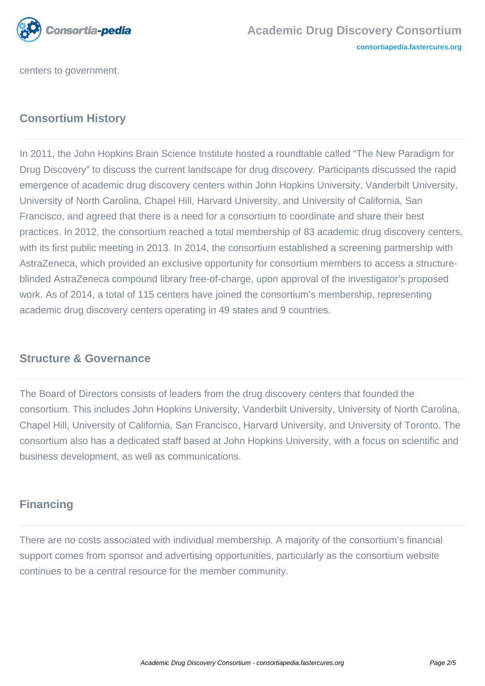

centers to government.

# **Consortium History**

In 2011, the John Hopkins Brain Science Institute hosted a roundtable called "The New Paradigm for Drug Discovery" to discuss the current landscape for drug discovery. Participants discussed the rapid emergence of academic drug discovery centers within John Hopkins University, Vanderbilt University, University of North Carolina, Chapel Hill, Harvard University, and University of California, San Francisco, and agreed that there is a need for a consortium to coordinate and share their best practices. In 2012, the consortium reached a total membership of 83 academic drug discovery centers, with its first public meeting in 2013. In 2014, the consortium established a screening partnership with AstraZeneca, which provided an exclusive opportunity for consortium members to access a structureblinded AstraZeneca compound library free-of-charge, upon approval of the investigator's proposed work. As of 2014, a total of 115 centers have joined the consortium's membership, representing academic drug discovery centers operating in 49 states and 9 countries.

## **Structure & Governance**

The Board of Directors consists of leaders from the drug discovery centers that founded the consortium. This includes John Hopkins University, Vanderbilt University, University of North Carolina, Chapel Hill, University of California, San Francisco, Harvard University, and University of Toronto. The consortium also has a dedicated staff based at John Hopkins University, with a focus on scientific and business development, as well as communications.

# **Financing**

There are no costs associated with individual membership. A majority of the consortium's financial support comes from sponsor and advertising opportunities, particularly as the consortium website continues to be a central resource for the member community.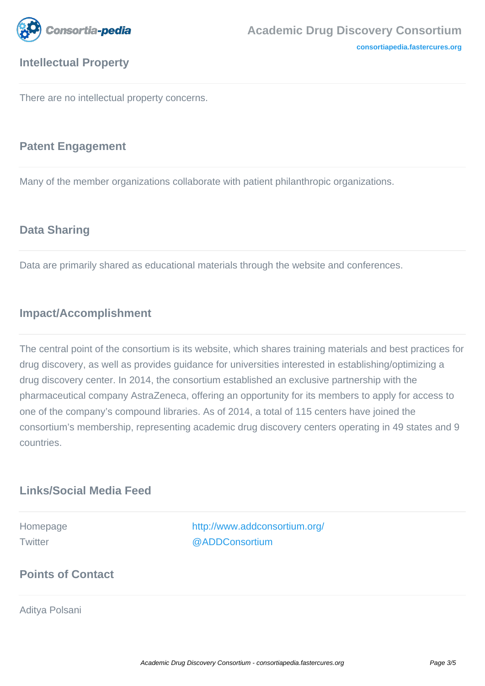

# **Intellectual Property**

**[consortiapedia.fastercures.org](http://consortiapedia.fastercures.org/)**

There are no intellectual property concerns.

### **Patent Engagement**

Many of the member organizations collaborate with patient philanthropic organizations.

## **Data Sharing**

Data are primarily shared as educational materials through the website and conferences.

## **Impact/Accomplishment**

The central point of the consortium is its website, which shares training materials and best practices for drug discovery, as well as provides guidance for universities interested in establishing/optimizing a drug discovery center. In 2014, the consortium established an exclusive partnership with the pharmaceutical company AstraZeneca, offering an opportunity for its members to apply for access to one of the company's compound libraries. As of 2014, a total of 115 centers have joined the consortium's membership, representing academic drug discovery centers operating in 49 states and 9 countries.

## **Links/Social Media Feed**

Homepage <http://www.addconsortium.org/> Twitter [@ADDConsortium](http://twitter.com/ADDConsortium)

# **Points of Contact**

Aditya Polsani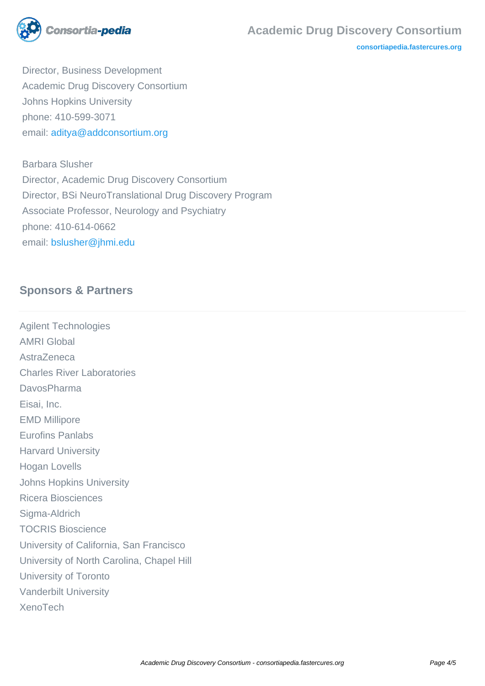

**[consortiapedia.fastercures.org](http://consortiapedia.fastercures.org/)**

 Director, Business Development Academic Drug Discovery Consortium Johns Hopkins University phone: 410-599-3071 email: [aditya@addconsortium.org](mailto:aditya@addconsortium.org)

 Barbara Slusher Director, Academic Drug Discovery Consortium Director, BSi NeuroTranslational Drug Discovery Program Associate Professor, Neurology and Psychiatry phone: 410-614-0662 email: [bslusher@jhmi.edu](mailto:bslusher@jhmi.edu)

# **Sponsors & Partners**

Agilent Technologies AMRI Global AstraZeneca Charles River Laboratories DavosPharma Eisai, Inc. EMD Millipore Eurofins Panlabs Harvard University Hogan Lovells Johns Hopkins University Ricera Biosciences Sigma-Aldrich TOCRIS Bioscience University of California, San Francisco University of North Carolina, Chapel Hill University of Toronto Vanderbilt University XenoTech